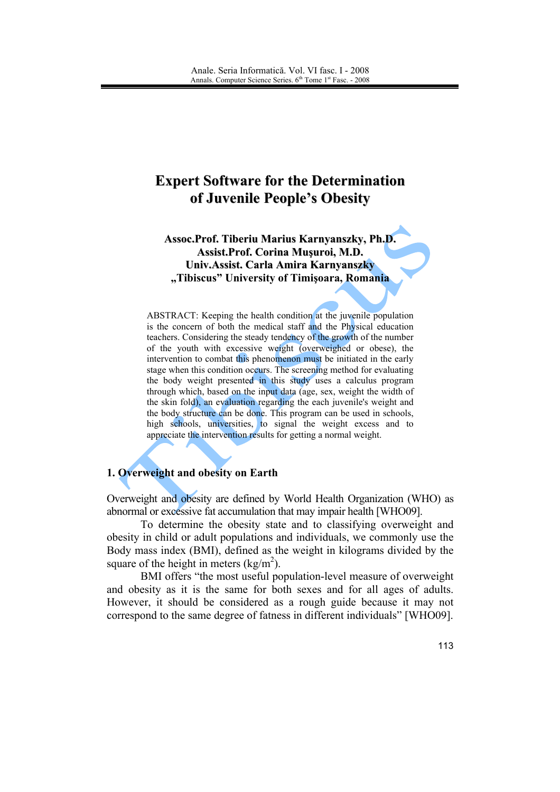# **Expert Software for the Determination** of Juvenile People's Obesity

### Assoc.Prof. Tiberiu Marius Karnyanszky, Ph.D. Assist.Prof. Corina Musuroi, M.D. Univ. Assist. Carla Amira Karnyanszky "Tibiscus" University of Timișoara, Romania

ABSTRACT: Keeping the health condition at the juvenile population is the concern of both the medical staff and the Physical education teachers. Considering the steady tendency of the growth of the number of the youth with excessive weight (overweighed or obese), the intervention to combat this phenomenon must be initiated in the early stage when this condition occurs. The screening method for evaluating the body weight presented in this study uses a calculus program through which, based on the input data (age, sex, weight the width of the skin fold), an evaluation regarding the each juvenile's weight and the body structure can be done. This program can be used in schools, high schools, universities, to signal the weight excess and to appreciate the intervention results for getting a normal weight.

## 1. Overweight and obesity on Earth

Overweight and obesity are defined by World Health Organization (WHO) as abnormal or excessive fat accumulation that may impair health [WHO09].

To determine the obesity state and to classifying overweight and obesity in child or adult populations and individuals, we commonly use the Body mass index (BMI), defined as the weight in kilograms divided by the square of the height in meters  $(kg/m<sup>2</sup>)$ .

BMI offers "the most useful population-level measure of overweight and obesity as it is the same for both sexes and for all ages of adults. However, it should be considered as a rough guide because it may not correspond to the same degree of fatness in different individuals" [WHO09].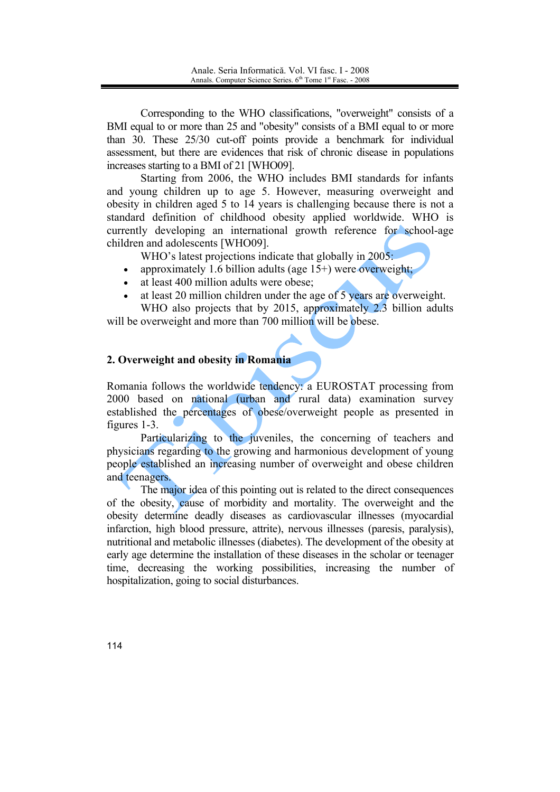Corresponding to the WHO classifications, "overweight" consists of a BMI equal to or more than 25 and "obesity" consists of a BMI equal to or more than 30. These 25/30 cut-off points provide a benchmark for individual assessment, but there are evidences that risk of chronic disease in populations increases starting to a BMI of 21 [WHO09].

Starting from 2006, the WHO includes BMI standards for infants and young children up to age 5. However, measuring overweight and obesity in children aged 5 to 14 years is challenging because there is not a standard definition of childhood obesity applied worldwide. WHO is currently developing an international growth reference for school-age children and adolescents [WHO09].

WHO's latest projections indicate that globally in 2005:

- approximately 1.6 billion adults (age  $15+$ ) were overweight;  $\bullet$
- at least 400 million adults were obese;
- at least 20 million children under the age of 5 years are overweight.

WHO also projects that by 2015, approximately 2.3 billion adults will be overweight and more than 700 million will be obese.

### 2. Overweight and obesity in Romania

Romania follows the worldwide tendency: a EUROSTAT processing from 2000 based on national (urban and rural data) examination survey established the percentages of obese/overweight people as presented in figures  $1-3$ .

Particularizing to the juveniles, the concerning of teachers and physicians regarding to the growing and harmonious development of young people established an increasing number of overweight and obese children and teenagers.

The major idea of this pointing out is related to the direct consequences of the obesity, cause of morbidity and mortality. The overweight and the obesity determine deadly diseases as cardiovascular illnesses (myocardial infarction, high blood pressure, attrite), nervous illnesses (paresis, paralysis), nutritional and metabolic illnesses (diabetes). The development of the obesity at early age determine the installation of these diseases in the scholar or teenager time, decreasing the working possibilities, increasing the number of hospitalization, going to social disturbances.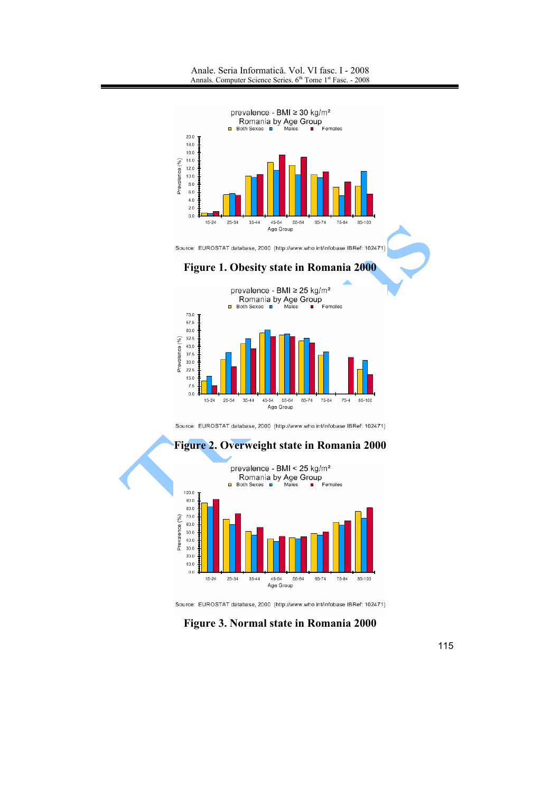Anale. Seria Informatică. Vol. VI fasc. I - 2008 Annals. Computer Science Series. 6<sup>th</sup> Tome 1<sup>st</sup> Fasc. - 2008





Source: EUROSTAT database, 2000 (http://www.who.int/infobase IBRef: 102471)



Source: EUROSTAT database, 2000 (http://www.who.int/infobase IBRef: 102471)

Figure 3. Normal state in Romania 2000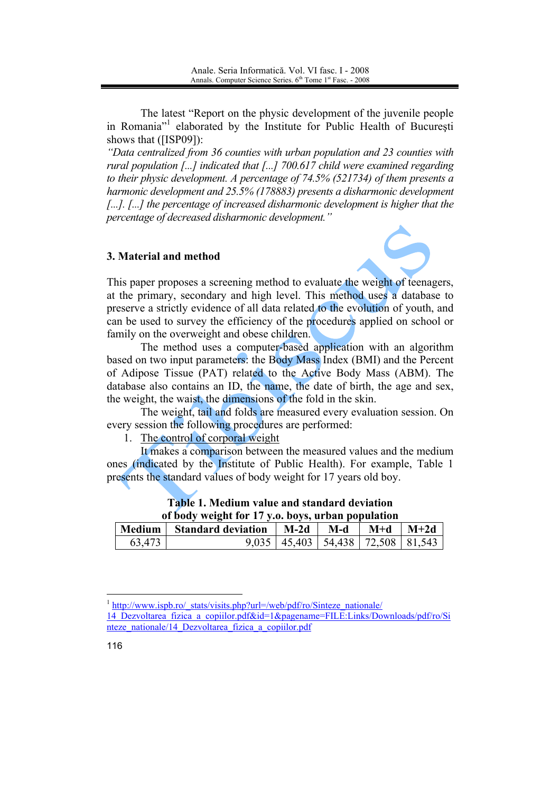The latest "Report on the physic development of the juvenile people in Romania<sup>"</sup> elaborated by the Institute for Public Health of Bucuresti shows that ([ISP09]):

"Data centralized from 36 counties with urban population and 23 counties with rural population [...] indicated that [...] 700.617 child were examined regarding to their physic development. A percentage of  $74.5\%$  (521734) of them presents a harmonic development and 25.5% (178883) presents a disharmonic development [...]. [...] the percentage of increased disharmonic development is higher that the percentage of decreased disharmonic development."

### 3. Material and method



This paper proposes a screening method to evaluate the weight of teenagers. at the primary, secondary and high level. This method uses a database to preserve a strictly evidence of all data related to the evolution of youth, and can be used to survey the efficiency of the procedures applied on school or family on the overweight and obese children.

The method uses a computer-based application with an algorithm based on two input parameters: the Body Mass Index (BMI) and the Percent of Adipose Tissue (PAT) related to the Active Body Mass (ABM). The database also contains an ID, the name, the date of birth, the age and sex, the weight, the waist, the dimensions of the fold in the skin.

The weight, tail and folds are measured every evaluation session. On every session the following procedures are performed:

1. The control of corporal weight

It makes a comparison between the measured values and the medium ones (indicated by the Institute of Public Health). For example, Table 1 presents the standard values of body weight for 17 years old boy.

| of body weight for 17 y.o. boys, urban population |                                  |  |  |                                             |  |  |  |  |
|---------------------------------------------------|----------------------------------|--|--|---------------------------------------------|--|--|--|--|
|                                                   | Medium Standard deviation   M-2d |  |  | $M-d$   $M+d$   $M+2d$                      |  |  |  |  |
| 63,473                                            |                                  |  |  | $9,035$   45,403   54,438   72,508   81,543 |  |  |  |  |

Table 1. Medium value and standard deviation

<sup>&</sup>lt;sup>1</sup> http://www.ispb.ro/ stats/visits.php?url=/web/pdf/ro/Sinteze nationale/

<sup>14</sup> Dezvoltarea fizica a copiilor.pdf&id=1&pagename=FILE:Links/Downloads/pdf/ro/Si nteze nationale/14 Dezvoltarea fizica a copiilor.pdf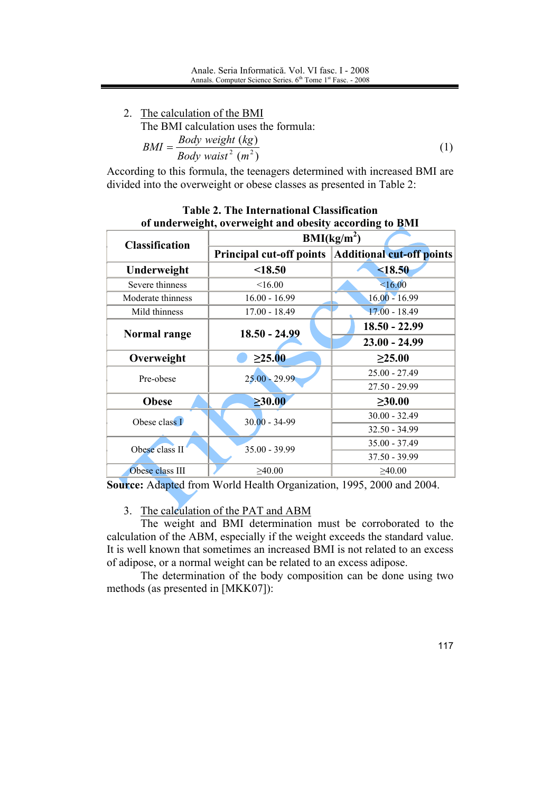2. The calculation of the BMI The BMI calculation uses the formula:  $BMI = \frac{Body \ weight \ (kg)}{Body \ wait^2 \ (m^2)}$  $(1)$ 

According to this formula, the teenagers determined with increased BMI are divided into the overweight or obese classes as presented in Table 2:

|                       | or under weight, over weight and obesity according to DMI |                                                    |  |  |
|-----------------------|-----------------------------------------------------------|----------------------------------------------------|--|--|
| <b>Classification</b> | BMI(kg/m <sup>2</sup> )                                   |                                                    |  |  |
|                       |                                                           | Principal cut-off points Additional cut-off points |  |  |
| Underweight           | < 18.50                                                   | < 18.50                                            |  |  |
| Severe thinness       | <16.00                                                    | <16.00                                             |  |  |
| Moderate thinness     | $16.00 - 16.99$<br>$16.00 - 16.99$                        |                                                    |  |  |
| Mild thinness         | $17.00 - 18.49$                                           | $17.00 - 18.49$                                    |  |  |
| Normal range          | $18.50 - 24.99$                                           | $18.50 - 22.99$                                    |  |  |
|                       |                                                           | $23.00 - 24.99$                                    |  |  |
| Overweight            | $\geq 25.00$                                              | $\geq 25.00$                                       |  |  |
| Pre-obese             | $25.00 - 29.99$                                           | $25.00 - 27.49$                                    |  |  |
|                       |                                                           | $27.50 - 29.99$                                    |  |  |
| <b>Obese</b>          | $\geq 30.00$                                              | $\geq 30.00$                                       |  |  |
| Obese class I         | $30.00 - 34 - 99$                                         | $30.00 - 32.49$                                    |  |  |
|                       |                                                           | $32.50 - 34.99$                                    |  |  |
| Obese class II        | $35.00 - 39.99$                                           | $35.00 - 37.49$                                    |  |  |
|                       |                                                           | $37.50 - 39.99$                                    |  |  |
| Obese class III       | $\geq 40.00$                                              | $\geq 40.00$                                       |  |  |

### **Table 2. The International Classification** of underweight overweight and obesity according to RMI

Source: Adapted from World Health Organization, 1995, 2000 and 2004.

## 3. The calculation of the PAT and ABM

The weight and BMI determination must be corroborated to the calculation of the ABM, especially if the weight exceeds the standard value. It is well known that sometimes an increased BMI is not related to an excess of adipose, or a normal weight can be related to an excess adipose.

The determination of the body composition can be done using two methods (as presented in [MKK07]):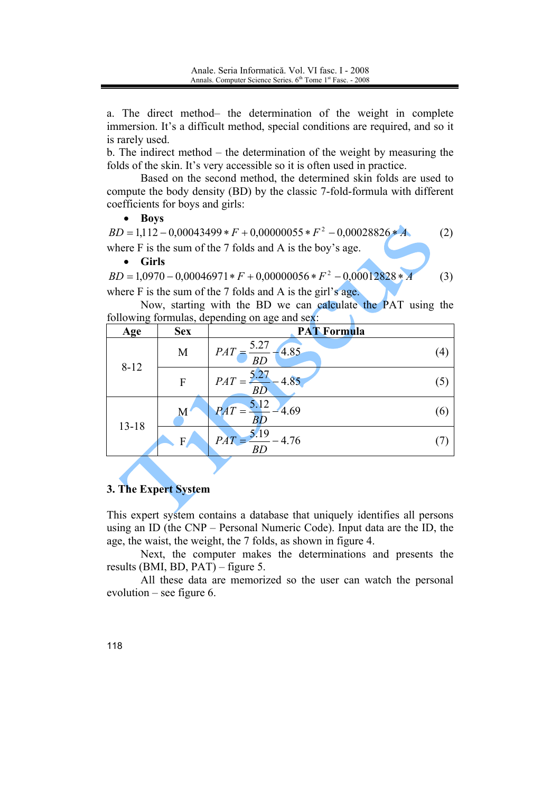a. The direct method- the determination of the weight in complete immersion. It's a difficult method, special conditions are required, and so it is rarely used.

b. The indirect method  $-$  the determination of the weight by measuring the folds of the skin. It's very accessible so it is often used in practice.

Based on the second method, the determined skin folds are used to compute the body density (BD) by the classic 7-fold-formula with different coefficients for boys and girls:

#### • Boys

 $BD = 1.112 - 0.00043499 * F + 0.00000055 * F^2 - 0.00028826 * A$  $(2)$ where  $F$  is the sum of the 7 folds and A is the boy's age.  $\bullet$ **Girls** 

 $BD = 1.0970 - 0.00046971 * F + 0.00000056 * F^2 - 0.00012828 * A$  $(3)$ where  $F$  is the sum of the 7 folds and A is the girl's age.

Now, starting with the BD we can calculate the PAT using the following formulas depending on age and sex-

| ັ         | $\overline{\phantom{a}}$ | ັ                                |     |
|-----------|--------------------------|----------------------------------|-----|
| Age       | <b>Sex</b>               | <b>PAT Formula</b>               |     |
| $8 - 12$  | M                        | 5.27<br>4.85<br>PAT<br><b>BD</b> | (4) |
|           | F                        | 5.27<br>4.85<br>PAT<br>BD        | (5) |
| $13 - 18$ | М                        | 5.12<br>$\overline{PAT}$<br>4.69 | (6) |
|           | F.                       | 5.19<br><b>PAT</b><br>4.76<br>BC |     |
|           |                          |                                  |     |

### 3. The Expert System

This expert system contains a database that uniquely identifies all persons using an ID (the CNP – Personal Numeric Code). Input data are the ID, the age, the waist, the weight, the 7 folds, as shown in figure 4.

Next, the computer makes the determinations and presents the results (BMI, BD,  $PAT$ ) – figure 5.

All these data are memorized so the user can watch the personal evolution – see figure 6.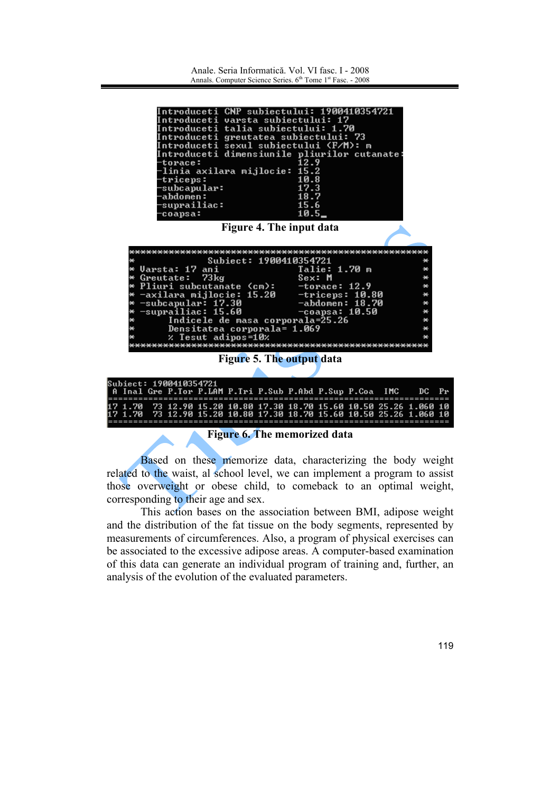Anale, Seria Informatică, Vol. VI fasc, I - 2008 Annals Computer Science Series  $6^{th}$  Tome 1<sup>st</sup> Fasc - 2008



Based on these memorize data, characterizing the body weight related to the waist, al school level, we can implement a program to assist those overweight or obese child, to comeback to an optimal weight, corresponding to their age and sex.

This action bases on the association between BMI, adipose weight and the distribution of the fat tissue on the body segments, represented by measurements of circumferences. Also, a program of physical exercises can be associated to the excessive adipose areas. A computer-based examination of this data can generate an individual program of training and, further, an analysis of the evolution of the evaluated parameters.